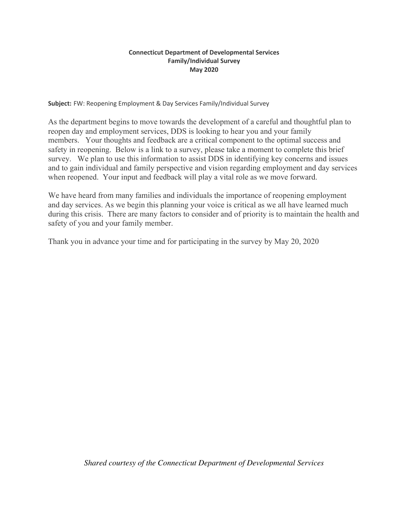## **Connecticut Department of Developmental Services Family/Individual Survey May 2020**

**Subject:** FW: Reopening Employment & Day Services Family/Individual Survey

As the department begins to move towards the development of a careful and thoughtful plan to reopen day and employment services, DDS is looking to hear you and your family members. Your thoughts and feedback are a critical component to the optimal success and safety in reopening. Below is a link to a survey, please take a moment to complete this brief survey. We plan to use this information to assist DDS in identifying key concerns and issues and to gain individual and family perspective and vision regarding employment and day services when reopened. Your input and feedback will play a vital role as we move forward.

We have heard from many families and individuals the importance of reopening employment and day services. As we begin this planning your voice is critical as we all have learned much during this crisis. There are many factors to consider and of priority is to maintain the health and safety of you and your family member.

Thank you in advance your time and for participating in the survey by May 20, 2020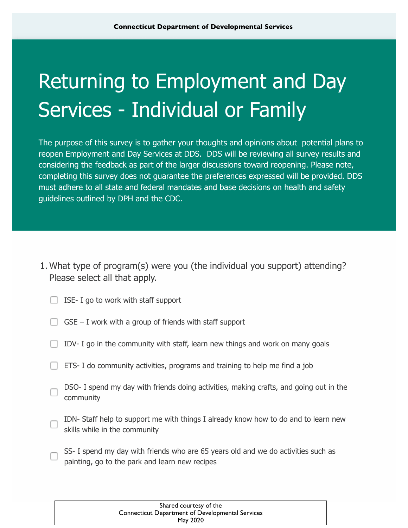## Returning to Employment and Day Services - Individual or Family

The purpose of this survey is to gather your thoughts and opinions about potential plans to reopen Employment and Day Services at DDS. DDS will be reviewing all survey results and considering the feedback as part of the larger discussions toward reopening. Please note, completing this survey does not guarantee the preferences expressed will be provided. DDS must adhere to all state and federal mandates and base decisions on health and safety guidelines outlined by DPH and the CDC.

What type of program(s) were you (the individual you support) attending? 1. Please select all that apply.

|  |  |  |  |  |  |  |  | ISE- I go to work with staff support |
|--|--|--|--|--|--|--|--|--------------------------------------|
|--|--|--|--|--|--|--|--|--------------------------------------|

|  |  | $GSE - I$ work with a group of friends with staff support |  |  |
|--|--|-----------------------------------------------------------|--|--|
|  |  |                                                           |  |  |

- $\Box$  IDV- I go in the community with staff, learn new things and work on many goals
- **ETS- I** do community activities, programs and training to help me find a job
- DSO- I spend my day with friends doing activities, making crafts, and going out in the community
- IDN- Staff help to support me with things I already know how to do and to learn new skills while in the community
- SS- I spend my day with friends who are 65 years old and we do activities such as painting, go to the park and learn new recipes

| Shared courtesy of the                                  |
|---------------------------------------------------------|
| <b>Connecticut Department of Developmental Services</b> |
| May 2020                                                |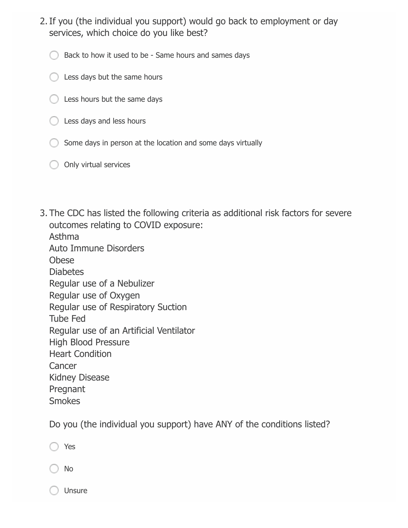- 2. If you (the individual you support) would go back to employment or day services, which choice do you like best?
	- Back to how it used to be Same hours and sames days
	- $\bigcirc$  Less days but the same hours
	- $\bigcirc$  Less hours but the same days
	- $\bigcirc$  Less days and less hours
	- Some days in person at the location and some days virtually
	- O Only virtual services
- 3. The CDC has listed the following criteria as additional risk factors for severe outcomes relating to COVID exposure:

Asthma Auto Immune Disorders Obese **Diabetes** Regular use of a Nebulizer Regular use of Oxygen Regular use of Respiratory Suction Tube Fed Regular use of an Artificial Ventilator High Blood Pressure Heart Condition **Cancer** Kidney Disease Pregnant **Smokes** 

Do you (the individual you support) have ANY of the conditions listed?

|  | ٧ |
|--|---|
|--|---|

No

Unsure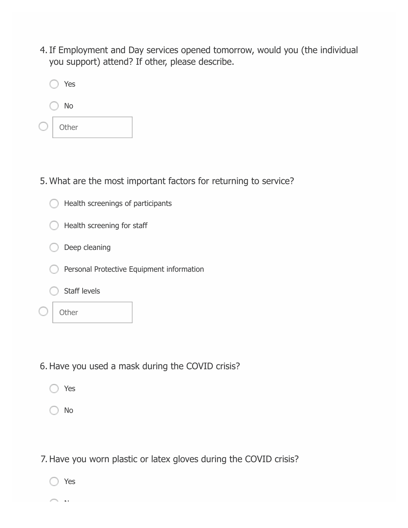4. If Employment and Day services opened tomorrow, would you (the individual you support) attend? If other, please describe.

| Yes   |  |
|-------|--|
| No    |  |
| Other |  |

5. What are the most important factors for returning to service?

| Health screenings of participants         |
|-------------------------------------------|
| Health screening for staff                |
| Deep cleaning                             |
| Personal Protective Equipment information |
| Staff levels                              |
|                                           |

- 6. Have you used a mask during the COVID crisis?
	- Yes
	- No

7. Have you worn plastic or latex gloves during the COVID crisis?

Yes

No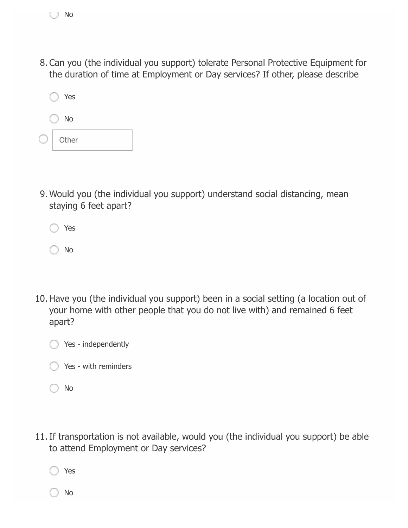8. Can you (the individual you support) tolerate Personal Protective Equipment for the duration of time at Employment or Day services? If other, please describe



Would you (the individual you support) understand social distancing, mean 9. staying 6 feet apart?

Yes

◯ No

- 10. Have you (the individual you support) been in a social setting (a location out of your home with other people that you do not live with) and remained 6 feet apart?
	- Yes independently
	- Yes with reminders
	- No
- 11. If transportation is not available, would you (the individual you support) be able to attend Employment or Day services?

Yes

No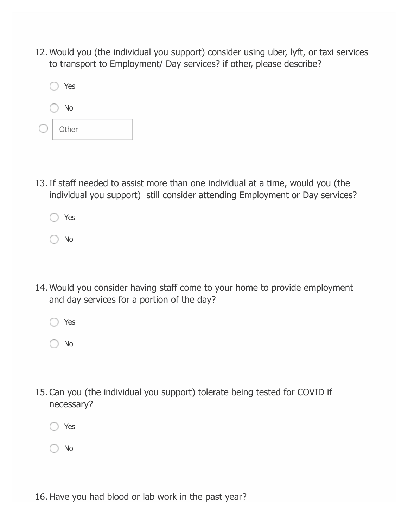12. Would you (the individual you support) consider using uber, lyft, or taxi services to transport to Employment/ Day services? if other, please describe?



If staff needed to assist more than one individual at a time, would you (the 13. individual you support) still consider attending Employment or Day services?



No

- 14. Would you consider having staff come to your home to provide employment and day services for a portion of the day?
	- Yes

No

15. Can you (the individual you support) tolerate being tested for COVID if necessary?

Yes

No

16. Have you had blood or lab work in the past year?